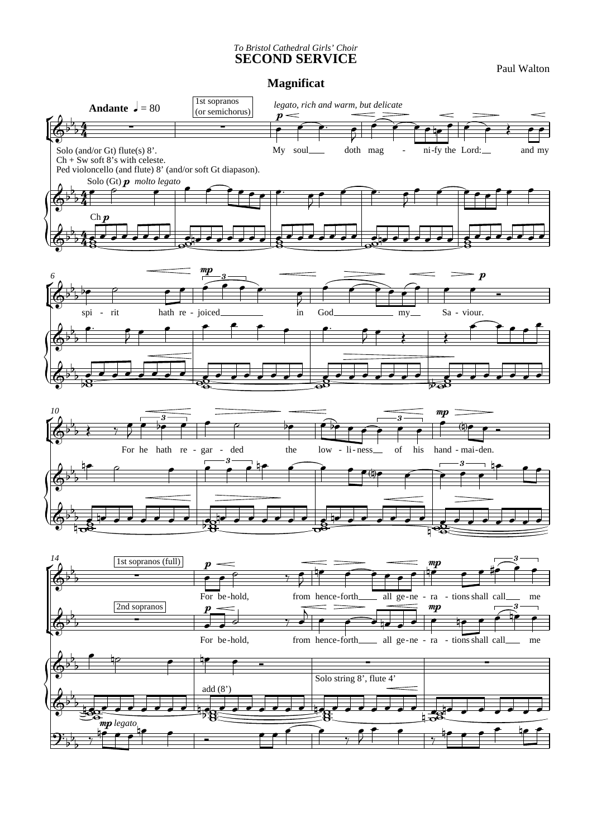## *To Bristol Cathedral Girls' Choir* **SECOND SERVICE**

Paul Walton

## **Magnificat**

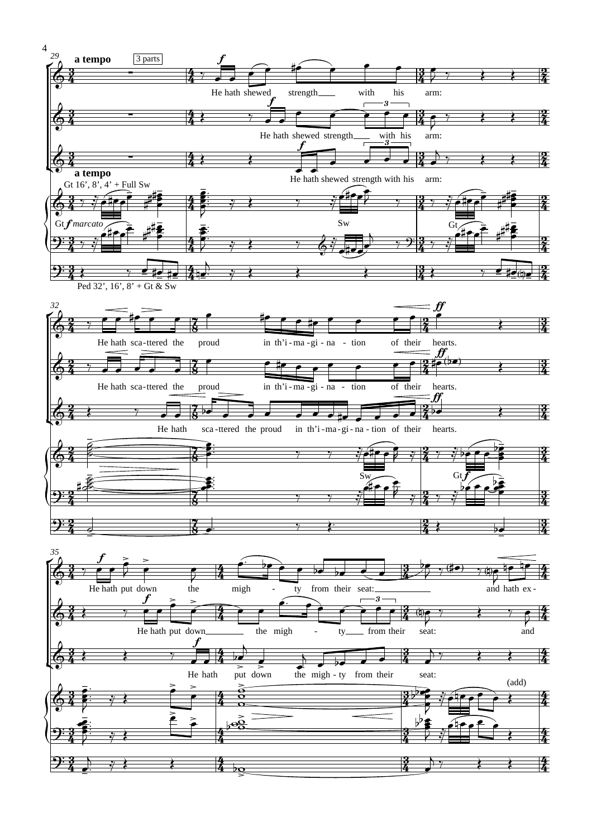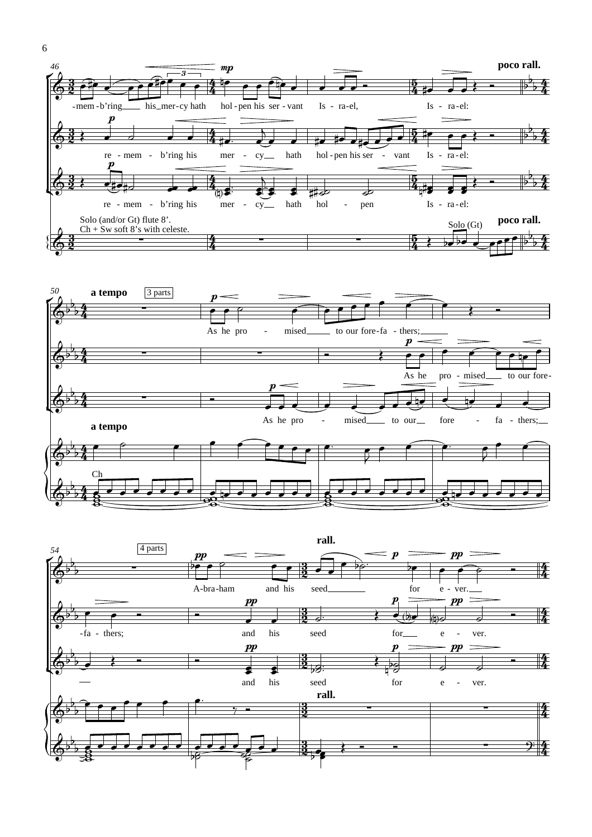





6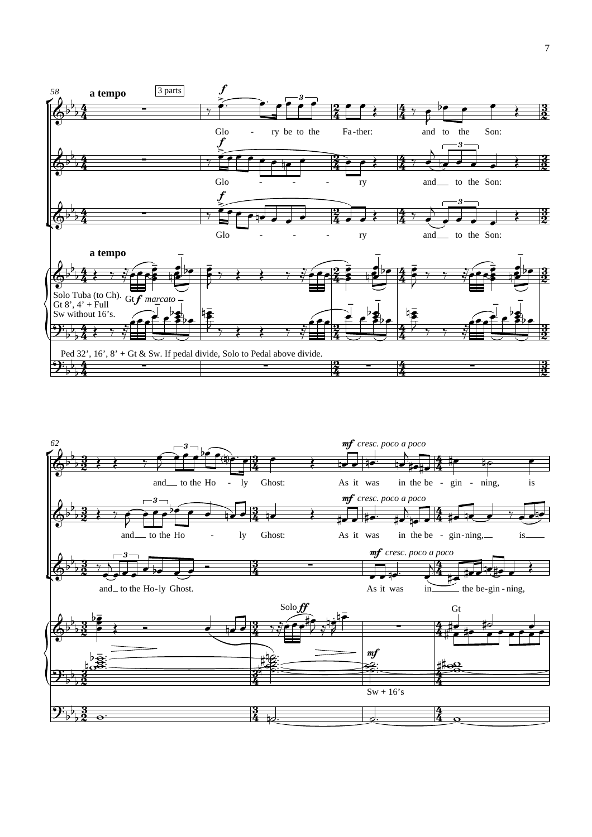



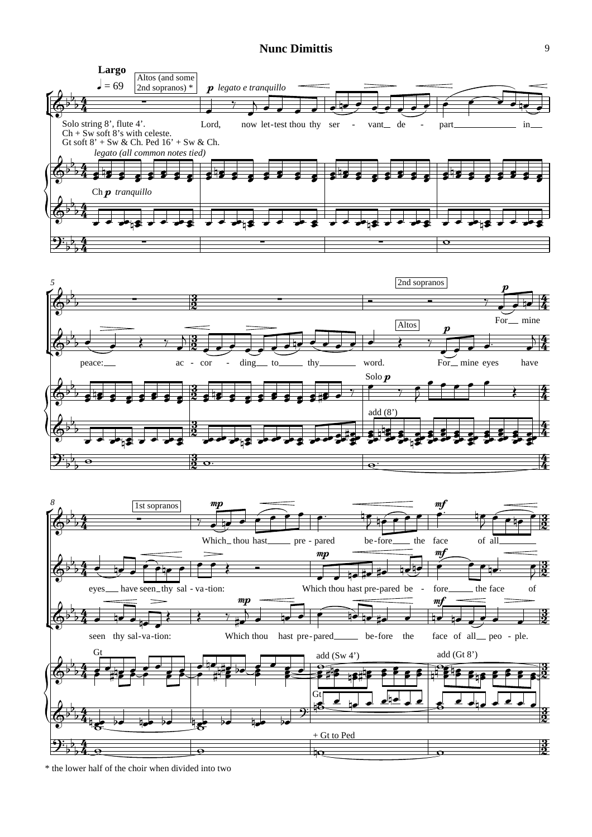## **Nunc Dimittis**







\* the lower half of the choir when divided into two